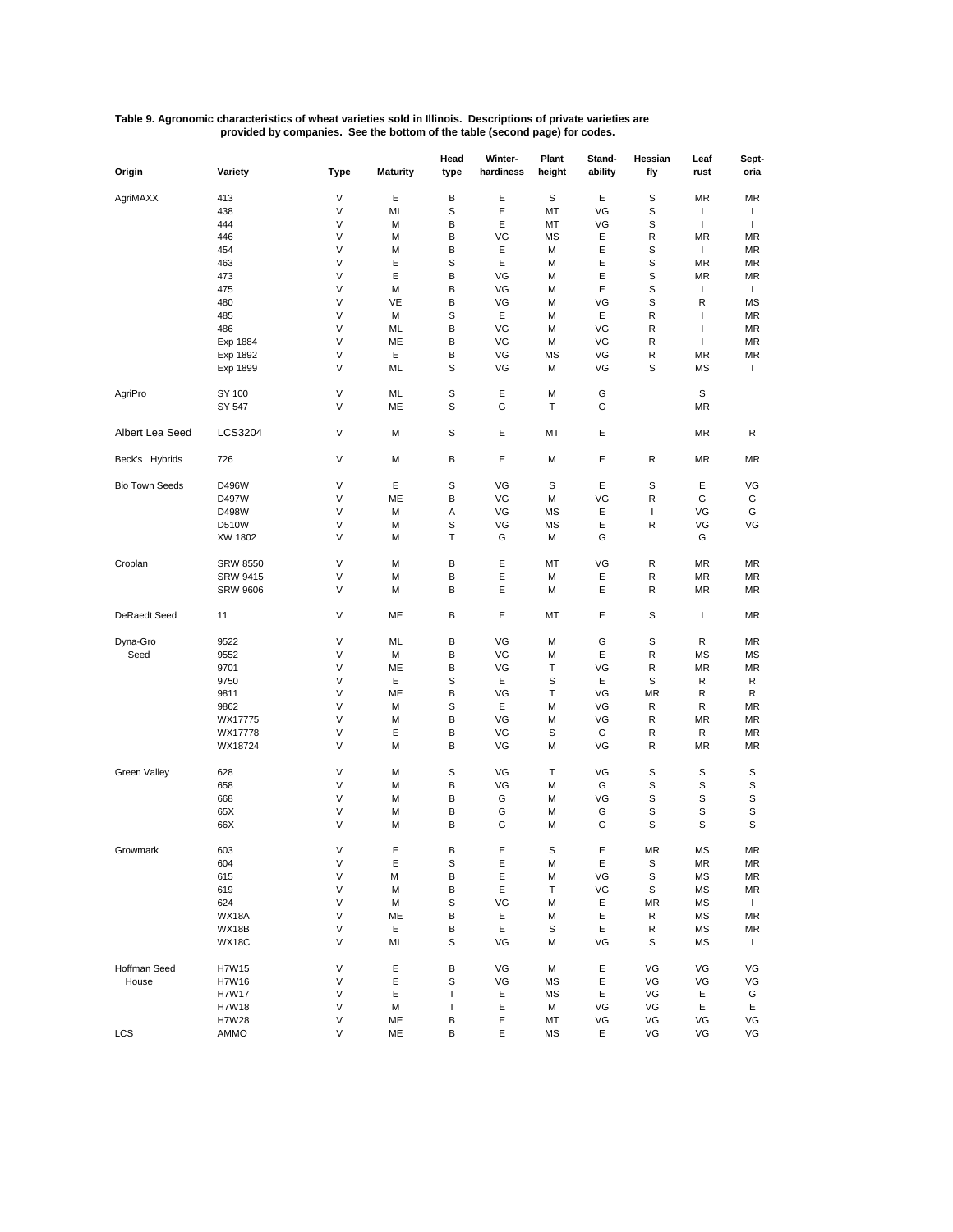## **Table 9. Agronomic characteristics of wheat varieties sold in Illinois. Descriptions of private varieties are provided by companies. See the bottom of the table (second page) for codes.**

| Origin                | Variety         | <b>Type</b> | <b>Maturity</b> | Head<br>type | Winter-<br>hardiness | Plant<br>height | Stand-<br>ability | Hessian<br><u>fly</u> | Leaf<br><u>rust</u> | Sept-<br><u>oria</u> |
|-----------------------|-----------------|-------------|-----------------|--------------|----------------------|-----------------|-------------------|-----------------------|---------------------|----------------------|
| AgriMAXX              | 413             | V           | Ε               | В            | Ε                    | S               | Ε                 | S                     | MR                  | <b>MR</b>            |
|                       | 438             | V           | ML              | S            | Ε                    | МT              | VG                | S                     | $\mathbf{I}$        | $\mathbf{I}$         |
|                       |                 |             |                 |              |                      |                 |                   |                       |                     |                      |
|                       | 444             | V           | М               | B            | Ε                    | МT              | VG                | S                     | $\mathbf{I}$        | $\mathbf{I}$         |
|                       | 446             | V           | М               | B            | VG                   | MS              | Ε                 | R                     | MR                  | <b>MR</b>            |
|                       | 454             | V           | М               | B            | Ε                    | M               | Ε                 | s                     | $\mathbf{I}$        | MR                   |
|                       | 463             | V           | Ε               | S            | Ε                    | M               | Ε                 | S                     | MR                  | MR                   |
|                       | 473             | V           | Ε               | B            | VG                   | M               | Ε                 | S                     | MR                  | <b>MR</b>            |
|                       | 475             | V           | М               | B            | VG                   | M               | Ε                 | S                     | $\mathbf{I}$        | $\mathbf{I}$         |
|                       | 480             | V           | VE              | B            | VG                   | M               | VG                | S                     | R                   | <b>MS</b>            |
|                       | 485             | V           | М               | S            | Ε                    | M               | Ε                 | R                     | I                   | MR                   |
|                       | 486             | V           | ML              | В            | VG                   | M               | VG                | R                     | T                   | MR                   |
|                       | Exp 1884        | V           | ME              | B            | VG                   | M               | VG                | R                     | T                   | <b>MR</b>            |
|                       | Exp 1892        | V           | Е               | B            | VG                   | МS              | VG                | R                     | MR                  | MR                   |
|                       | Exp 1899        | V           | ML              | S            | VG                   | M               | VG                | S                     | ΜS                  | $\mathbf{I}$         |
|                       |                 |             |                 |              |                      |                 |                   |                       |                     |                      |
| AgriPro               | SY 100          | V           | ML              | S            | Ε                    | M               | G                 |                       | S                   |                      |
|                       | SY 547          | V           | ME              | S            | G                    | т               | G                 |                       | MR                  |                      |
| Albert Lea Seed       | LCS3204         | V           | М               | S            | E                    | MT              | Ε                 |                       | MR                  | R                    |
|                       |                 |             |                 |              |                      |                 |                   |                       |                     |                      |
| Beck's Hybrids        | 726             | V           | М               | В            | E                    | M               | Ε                 | R                     | ΜR                  | <b>MR</b>            |
| <b>Bio Town Seeds</b> | D496W           | V           | Ε               | S            | VG                   | S               | Ε                 | S                     | Е                   | VG                   |
|                       | D497W           | V           | ME              | B            | VG                   | M               | VG                | R                     | G                   | G                    |
|                       |                 |             |                 |              |                      |                 |                   |                       |                     |                      |
|                       | D498W           | V           | М               | Α            | VG                   | MS              | Ε                 | T                     | VG                  | G                    |
|                       | <b>D510W</b>    | V           | М               | S            | VG                   | МS              | Ε                 | R                     | VG                  | VG                   |
|                       | XW 1802         | V           | М               | Т            | G                    | M               | G                 |                       | G                   |                      |
| Croplan               | <b>SRW 8550</b> | V           | М               | B            | Ε                    | MT              | VG                | R                     | ΜR                  | <b>MR</b>            |
|                       | <b>SRW 9415</b> | V           | М               | В            | Ε                    | M               | Ε                 | R                     | MR                  | MR                   |
|                       | <b>SRW 9606</b> | V           | М               | B            | E                    | M               | Ε                 | R                     | ΜR                  | MR                   |
| DeRaedt Seed          | 11              | V           | ME              | B            | E                    | MT              | Ε                 | S                     | $\mathbf{I}$        | <b>MR</b>            |
|                       |                 |             |                 |              |                      |                 |                   |                       |                     |                      |
| Dyna-Gro              | 9522            | V           | ML              | В            | VG                   | M               | G                 | S                     | R                   | MR                   |
| Seed                  | 9552            | V           | М               | B            | VG                   | M               | Ε                 | R                     | ΜS                  | MS                   |
|                       | 9701            | V           | ME              | B            | VG                   | Т               | VG                | R                     | MR                  | MR                   |
|                       | 9750            | V           | Е               | S            | Ε                    | S               | Ε                 | S                     | R                   | R                    |
|                       | 9811            | V           | ME              | В            | VG                   | Т               | VG                | MR                    | R                   | R                    |
|                       | 9862            | V           | М               | S            | Ε                    | M               | VG                | R                     | R                   | MR                   |
|                       | WX17775         | V           | М               | B            | VG                   | M               | VG                | R                     | MR                  | <b>MR</b>            |
|                       | WX17778         | V           | Ε               | B            | VG                   | S               | G                 | R                     | R                   | MR                   |
|                       |                 |             |                 |              |                      |                 |                   |                       |                     |                      |
|                       | WX18724         | V           | М               | B            | VG                   | M               | VG                | R                     | MR                  | <b>MR</b>            |
| Green Valley          | 628             | V           | М               | S            | VG                   | т               | VG                | S                     | S                   | S                    |
|                       | 658             | V           | М               | B            | VG                   | M               | G                 | S                     | S                   | S                    |
|                       | 668             | V           | М               | В            | G                    | M               | VG                | S                     | S                   | S                    |
|                       | 65X             | V           | М               | В            | G                    | M               | G                 | S                     | S                   | S                    |
|                       | 66X             | V           | М               | B            | G                    | M               | G                 | s                     | S                   | S                    |
| Growmark              |                 | V           |                 |              |                      |                 |                   |                       |                     |                      |
|                       | 603             | V           | E               | B            | E                    | S               | Е                 | MR                    | мs                  | ΜR                   |
|                       | 604             |             | Ε               | S            | Ε                    | M               | Ε                 | S                     | ΜR                  | MR                   |
|                       | 615             | V           | М               | В            | Ε                    | М               | VG                | S                     | МS                  | MR                   |
|                       | 619             | V           | М               | B            | Ε                    | Т               | VG                | S                     | МS                  | $\sf MR$             |
|                       | 624             | V           | М               | S            | VG                   | M               | Ε                 | MR                    | МS                  | $\mathbf{I}$         |
|                       | WX18A           | V           | ME              | В            | Ε                    | M               | Ε                 | R                     | ΜS                  | <b>MR</b>            |
|                       | WX18B           | V           | Ε               | В            | Ε                    | S               | Ε                 | R                     | МS                  | MR                   |
|                       | WX18C           | V           | ML              | S            | VG                   | М               | VG                | S                     | МS                  | Τ.                   |
| Hoffman Seed          | H7W15           | V           | Ε               | В            | VG                   | M               | Ε                 | VG                    | VG                  | VG                   |
| House                 | H7W16           | V           | Ε               | S            | VG                   | ΜS              | Ε                 | VG                    | VG                  | VG                   |
|                       | <b>H7W17</b>    | V           | Ε               | Τ            | Ε                    | МS              | Ε                 | VG                    | Е                   | G                    |
|                       | H7W18           | V           | М               | Τ            | Ε                    | М               | VG                | VG                    | Ε                   | Ε                    |
|                       |                 |             |                 |              |                      |                 |                   |                       |                     |                      |
|                       | H7W28           | V           | ME              | B            | Ε                    | МT              | VG                | VG                    | VG                  | VG                   |
| <b>LCS</b>            | AMMO            | V           | ME              | В            | Ε                    | МS              | Ε                 | VG                    | VG                  | VG                   |